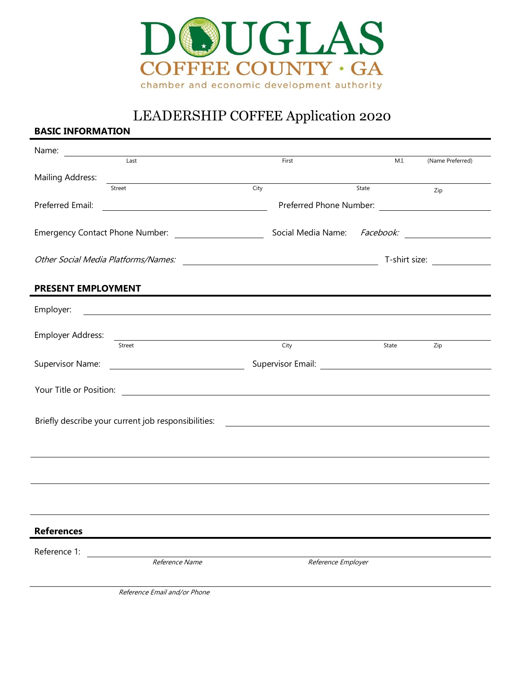

# LEADERSHIP COFFEE Application 2020

## **BASIC INFORMATION**

| Name:                                                                                                             |                                                                                                                            |      |                    |       |       |                                      |
|-------------------------------------------------------------------------------------------------------------------|----------------------------------------------------------------------------------------------------------------------------|------|--------------------|-------|-------|--------------------------------------|
|                                                                                                                   | Last                                                                                                                       |      | First              |       | M.I.  | (Name Preferred)                     |
| Mailing Address:                                                                                                  |                                                                                                                            |      |                    |       |       |                                      |
|                                                                                                                   | Street                                                                                                                     | City |                    | State |       | Zip                                  |
| Preferred Email:                                                                                                  |                                                                                                                            |      |                    |       |       |                                      |
|                                                                                                                   |                                                                                                                            |      |                    |       |       |                                      |
|                                                                                                                   |                                                                                                                            |      |                    |       |       |                                      |
|                                                                                                                   |                                                                                                                            |      |                    |       |       |                                      |
|                                                                                                                   |                                                                                                                            |      |                    |       |       | T-shirt size: <u>_______________</u> |
|                                                                                                                   |                                                                                                                            |      |                    |       |       |                                      |
| PRESENT EMPLOYMENT                                                                                                |                                                                                                                            |      |                    |       |       |                                      |
| Employer:                                                                                                         | <u>and the contract of the contract of the contract of the contract of the contract of the contract of the contract of</u> |      |                    |       |       |                                      |
|                                                                                                                   |                                                                                                                            |      |                    |       |       |                                      |
| Employer Address:                                                                                                 | <u> 1989 - Johann Barn, mars ann an t-Amhain an t-Amhain ann an t-Amhain an t-Amhain an t-Amhain an t-Amhain an t-</u>     |      |                    |       |       |                                      |
|                                                                                                                   | Street                                                                                                                     |      | City               |       | State | Zip                                  |
| Supervisor Name:                                                                                                  | <u> 1980 - Johann Barnett, fransk politik (d. 1980)</u>                                                                    |      |                    |       |       |                                      |
|                                                                                                                   |                                                                                                                            |      |                    |       |       |                                      |
|                                                                                                                   |                                                                                                                            |      |                    |       |       |                                      |
|                                                                                                                   |                                                                                                                            |      |                    |       |       |                                      |
| Briefly describe your current job responsibilities:<br><u> 1980 - Johann John Stein, fransk politik (f. 1980)</u> |                                                                                                                            |      |                    |       |       |                                      |
|                                                                                                                   |                                                                                                                            |      |                    |       |       |                                      |
|                                                                                                                   |                                                                                                                            |      |                    |       |       |                                      |
|                                                                                                                   |                                                                                                                            |      |                    |       |       |                                      |
|                                                                                                                   |                                                                                                                            |      |                    |       |       |                                      |
|                                                                                                                   |                                                                                                                            |      |                    |       |       |                                      |
|                                                                                                                   |                                                                                                                            |      |                    |       |       |                                      |
|                                                                                                                   |                                                                                                                            |      |                    |       |       |                                      |
| <b>References</b>                                                                                                 |                                                                                                                            |      |                    |       |       |                                      |
| Reference 1:                                                                                                      |                                                                                                                            |      |                    |       |       |                                      |
|                                                                                                                   | Reference Name                                                                                                             |      | Reference Employer |       |       |                                      |
|                                                                                                                   |                                                                                                                            |      |                    |       |       |                                      |
|                                                                                                                   | Reference Email and/or Phone                                                                                               |      |                    |       |       |                                      |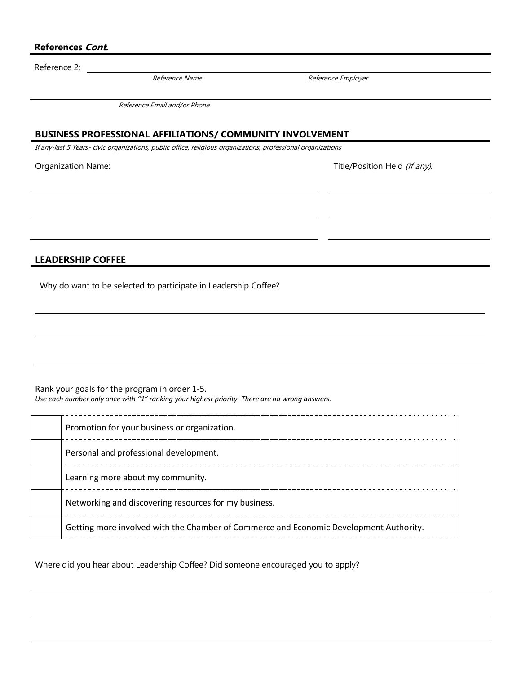### **References Cont.**

Reference 2:

Reference Name **Reference** Employer

Reference Email and/or Phone

#### **BUSINESS PROFESSIONAL AFFILIATIONS/ COMMUNITY INVOLVEMENT**

If any-last 5 Years- civic organizations, public office, religious organizations, professional organizations

Organization Name:  $\Box$  Title/Position Held (if any):

**LEADERSHIP COFFEE**

Why do want to be selected to participate in Leadership Coffee?

Rank your goals for the program in order 1-5. *Use each number only once with "1" ranking your highest priority. There are no wrong answers.*

| Promotion for your business or organization.                                           |
|----------------------------------------------------------------------------------------|
| Personal and professional development.                                                 |
| Learning more about my community.                                                      |
| Networking and discovering resources for my business.                                  |
| Getting more involved with the Chamber of Commerce and Economic Development Authority. |

Where did you hear about Leadership Coffee? Did someone encouraged you to apply?